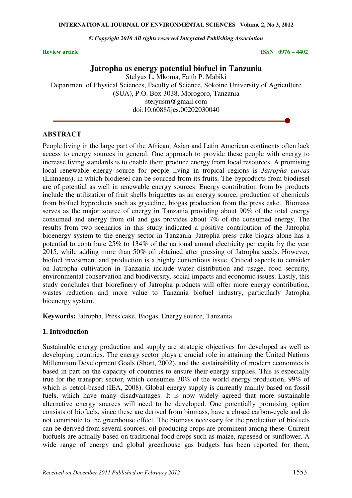*© Copyright 2010 All rights reserved Integrated Publishing Association* 

**Review article** ISSN 0976 – 4402

# **Jatropha as energy potential biofuel in Tanzania**

Stelyus L. Mkoma, Faith P. Mabiki Department of Physical Sciences, Faculty of Science, Sokoine University of Agriculture (SUA), P.O. Box 3038, Morogoro, Tanzania stelyusm@gmail.com doi:10.6088/ijes.00202030040

#### **ABSTRACT**

People living in the large part of the African, Asian and Latin American continents often lack access to energy sources in general. One approach to provide these people with energy to increase living standards is to enable them produce energy from local resources. A promising local renewable energy source for people living in tropical regions is *Jatropha curcas* (Linnaeus), in which biodiesel can be sourced from its fruits. The byproducts from biodiesel are of potential as well in renewable energy sources. Energy contribution from by products include the utilization of fruit shells briquettes as an energy source, production of chemicals from biofuel byproducts such as gryceline, biogas production from the press cake.. Biomass serves as the major source of energy in Tanzania providing about 90% of the total energy consumed and energy from oil and gas provides about 7% of the consumed energy. The results from two scenarios in this study indicated a positive contribution of the Jatropha bioenergy system to the energy sector in Tanzania. Jatropha press cake biogas alone has a potential to contribute 25% to 134% of the national annual electricity per capita by the year 2015, while adding more than 50% oil obtained after pressing of Jatropha seeds. However, biofuel investment and production is a highly contentious issue. Critical aspects to consider on Jatropha cultivation in Tanzania include water distribution and usage, food security, environmental conservation and biodiversity, social impacts and economic issues. Lastly, this study concludes that biorefinery of Jatropha products will offer more energy contribution, wastes reduction and more value to Tanzania biofuel industry, particularly Jatropha bioenergy system.

**Keywords:** Jatropha, Press cake, Biogas, Energy source, Tanzania.

#### **1. Introduction**

Sustainable energy production and supply are strategic objectives for developed as well as developing countries. The energy sector plays a crucial role in attaining the United Nations Millennium Development Goals (Short, 2002), and the sustainability of modern economics is based in part on the capacity of countries to ensure their energy supplies. This is especially true for the transport sector, which consumes 30% of the world energy production, 99% of which is petrol-based (IEA, 2008). Global energy supply is currently mainly based on fossil fuels, which have many disadvantages. It is now widely agreed that more sustainable alternative energy sources will need to be developed. One potentially promising option consists of biofuels, since these are derived from biomass, have a closed carbon-cycle and do not contribute to the greenhouse effect. The biomass necessary for the production of biofuels can be derived from several sources; oil-producing crops are prominent among these. Current biofuels are actually based on traditional food crops such as maize, rapeseed or sunflower. A wide range of energy and global greenhouse gas budgets has been reported for them,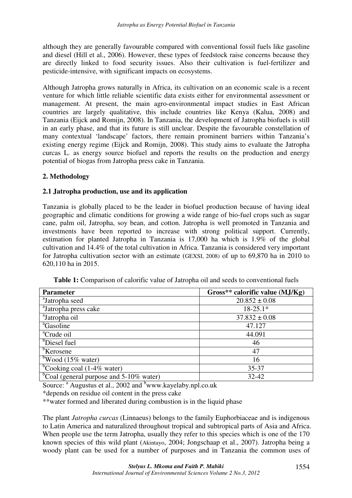although they are generally favourable compared with conventional fossil fuels like gasoline and diesel (Hill et al., 2006). However, these types of feedstock raise concerns because they are directly linked to food security issues. Also their cultivation is fuel-fertilizer and pesticide-intensive, with significant impacts on ecosystems.

Although Jatropha grows naturally in Africa, its cultivation on an economic scale is a recent venture for which little reliable scientific data exists either for environmental assessment or management. At present, the main agro-environmental impact studies in East African countries are largely qualitative, this include countries like Kenya (Kalua, 2008) and Tanzania (Eijck and Romijn, 2008). In Tanzania, the development of Jatropha biofuels is still in an early phase, and that its future is still unclear. Despite the favourable constellation of many contextual 'landscape' factors, there remain prominent barriers within Tanzania's existing energy regime (Eijck and Romijn, 2008). This study aims to evaluate the Jatropha curcas L. as energy source biofuel and reports the results on the production and energy potential of biogas from Jatropha press cake in Tanzania.

# **2. Methodology**

# **2.1 Jatropha production, use and its application**

Tanzania is globally placed to be the leader in biofuel production because of having ideal geographic and climatic conditions for growing a wide range of bio-fuel crops such as sugar cane, palm oil, Jatropha, soy bean, and cotton. Jatropha is well promoted in Tanzania and investments have been reported to increase with strong political support. Currently, estimation for planted Jatropha in Tanzania is 17,000 ha which is 1.9% of the global cultivation and 14.4% of the total cultivation in Africa. Tanzania is considered very important for Jatropha cultivation sector with an estimate (GEXSI, 2008) of up to 69,870 ha in 2010 to 620,110 ha in 2015.

| <b>Parameter</b>                              | Gross** calorific value $(MJ/Kg)$ |  |  |  |
|-----------------------------------------------|-----------------------------------|--|--|--|
| <sup>a</sup> Jatropha seed                    | $20.852 \pm 0.08$                 |  |  |  |
| <sup>a</sup> Jatropha press cake              | $18-25.1*$                        |  |  |  |
| <sup>a</sup> Jatropha oil                     | $37.832 \pm 0.08$                 |  |  |  |
| <sup>a</sup> Gasoline                         | 47.127                            |  |  |  |
| <sup>a</sup> Crude oil                        | 44.091                            |  |  |  |
| <sup>b</sup> Diesel fuel                      | 46                                |  |  |  |
| <sup>b</sup> Kerosene                         | 47                                |  |  |  |
| $b$ Wood (15% water)                          | 16                                |  |  |  |
| <sup>b</sup> Cooking coal (1-4% water)        | 35-37                             |  |  |  |
| $^{b}$ Coal (general purpose and 5-10% water) | 32-42                             |  |  |  |

**Table 1:** Comparison of calorific value of Jatropha oil and seeds to conventional fuels

Source: <sup>a</sup> Augustus et al., 2002 and <sup>b</sup>www.kayelaby.npl.co.uk

\*depends on residue oil content in the press cake

\*\*water formed and liberated during combustion is in the liquid phase

The plant *Jatropha curcas* (Linnaeus) belongs to the family Euphorbiaceae and is indigenous to Latin America and naturalized throughout tropical and subtropical parts of Asia and Africa. When people use the term Jatropha, usually they refer to this species which is one of the 170 known species of this wild plant (Akintayo, 2004; Jongschaap et al., 2007). Jatropha being a woody plant can be used for a number of purposes and in Tanzania the common uses of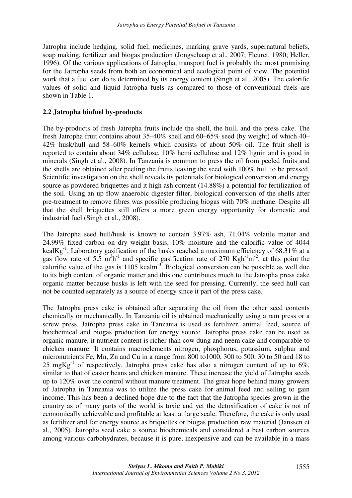Jatropha include hedging, solid fuel, medicines, marking grave yards, supernatural beliefs, soap making, fertilizer and biogas production (Jongschaap et al., 2007; Fleuret, 1980; Heller, 1996). Of the various applications of Jatropha, transport fuel is probably the most promising for the Jatropha seeds from both an economical and ecological point of view. The potential work that a fuel can do is determined by its energy content (Singh et al., 2008). The calorific values of solid and liquid Jatropha fuels as compared to those of conventional fuels are shown in Table 1.

## **2.2 Jatropha biofuel by-products**

The by-products of fresh Jatropha fruits include the shell, the hull, and the press cake. The fresh Jatropha fruit contains about 35–40% shell and 60–65% seed (by weight) of which 40– 42% husk/hull and 58–60% kernels which consists of about 50% oil. The fruit shell is reported to contain about 34% cellulose, 10% hemi cellulose and 12% lignin and is good in minerals (Singh et al., 2008). In Tanzania is common to press the oil from peeled fruits and the shells are obtained after peeling the fruits leaving the seed with 100% hull to be pressed. Scientific investigation on the shell reveals its potentials for biological conversion and energy source as powdered briquettes and it high ash content (14.88%) a potential for fertilization of the soil. Using an up flow anaerobic digester filter, biological conversion of the shells after pre-treatment to remove fibres was possible producing biogas with 70% methane. Despite all that the shell briquettes still offers a more green energy opportunity for domestic and industrial fuel (Singh et al., 2008).

The Jatropha seed hull/husk is known to contain 3.97% ash, 71.04% volatile matter and 24.99% fixed carbon on dry weight basis, 10% moisture and the calorific value of 4044 kcal $Kg^{-1}$ . Laboratory gasification of the husks reached a maximum efficiency of 68.31% at a gas flow rate of 5.5  $\text{m}^3\text{h}^{-1}$  and specific gasification rate of 270 Kgh<sup>-1</sup>m<sup>-2</sup>, at this point the calorific value of the gas is  $1105$  kcalm<sup>-3</sup>. Biological conversion can be possible as well due to its high content of organic matter and this one contributes much to the Jatropha press cake organic matter because husks is left with the seed for pressing. Currently, the seed hull can not be counted separately as a source of energy since it part of the press cake.

The Jatropha press cake is obtained after separating the oil from the other seed contents chemically or mechanically. In Tanzania oil is obtained mechanically using a ram press or a screw press. Jatropha press cake in Tanzania is used as fertilizer, animal feed, source of biochemical and biogas production for energy source. Jatropha press cake can be used as organic manure, it nutrient content is richer than cow dung and neem cake and comparable to chicken manure. It contains macroelements nitrogen, phosphorus, potassium, sulphur and micronutrients Fe, Mn, Zn and Cu in a range from 800 to1000, 300 to 500, 30 to 50 and 18 to 25 mgKg<sup>-1</sup> of respectively. Jatropha press cake has also a nitrogen content of up to 6%, similar to that of castor beans and chicken manure. These increase the yield of Jatropha seeds up to 120% over the control without manure treatment. The great hope behind many growers of Jatropha in Tanzania was to utilize the press cake for animal feed and selling to gain income. This has been a declined hope due to the fact that the Jatropha species grown in the country as of many parts of the world is toxic and yet the detoxification of cake is not of economically achievable and profitable at least at large scale. Therefore, the cake is only used as fertilizer and for energy source as briquettes or biogas production raw material (Janssen et al., 2005). Jatropha seed cake a source biochemicals and considered a best carbon sources among various carbohydrates, because it is pure, inexpensive and can be available in a mass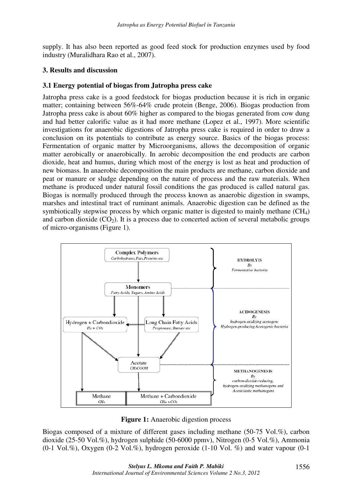supply. It has also been reported as good feed stock for production enzymes used by food industry (Muralidhara Rao et al., 2007).

#### **3. Results and discussion**

#### **3.1 Energy potential of biogas from Jatropha press cake**

Jatropha press cake is a good feedstock for biogas production because it is rich in organic matter; containing between 56%-64% crude protein (Benge, 2006). Biogas production from Jatropha press cake is about 60% higher as compared to the biogas generated from cow dung and had better calorific value as it had more methane (Lopez et al., 1997). More scientific investigations for anaerobic digestions of Jatropha press cake is required in order to draw a conclusion on its potentials to contribute as energy source. Basics of the biogas process: Fermentation of organic matter by Microorganisms, allows the decomposition of organic matter aerobically or anaerobically. In aerobic decomposition the end products are carbon dioxide, heat and humus, during which most of the energy is lost as heat and production of new biomass. In anaerobic decomposition the main products are methane, carbon dioxide and peat or manure or sludge depending on the nature of process and the raw materials. When methane is produced under natural fossil conditions the gas produced is called natural gas. Biogas is normally produced through the process known as anaerobic digestion in swamps, marshes and intestinal tract of ruminant animals. Anaerobic digestion can be defined as the symbiotically stepwise process by which organic matter is digested to mainly methane  $(CH<sub>4</sub>)$ and carbon dioxide  $(CO<sub>2</sub>)$ . It is a process due to concerted action of several metabolic groups of micro-organisms (Figure 1).



**Figure 1:** Anaerobic digestion process

Biogas composed of a mixture of different gases including methane (50-75 Vol.%), carbon dioxide (25-50 Vol.%), hydrogen sulphide (50-6000 ppmv), Nitrogen (0-5 Vol.%), Ammonia  $(0-1 \text{ Vol. } \%)$ , Oxygen  $(0-2 \text{ Vol. } \%)$ , hydrogen peroxide  $(1-10 \text{ Vol. } \%)$  and water vapour  $(0-1 \text{ Vol. } \%)$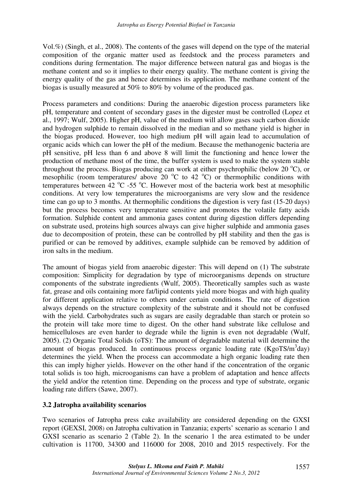Vol.%) (Singh, et al., 2008). The contents of the gases will depend on the type of the material composition of the organic matter used as feedstock and the process parameters and conditions during fermentation. The major difference between natural gas and biogas is the methane content and so it implies to their energy quality. The methane content is giving the energy quality of the gas and hence determines its application. The methane content of the biogas is usually measured at 50% to 80% by volume of the produced gas.

Process parameters and conditions: During the anaerobic digestion process parameters like pH, temperature and content of secondary gases in the digester must be controlled (Lopez et al., 1997; Wulf, 2005). Higher pH, value of the medium will allow gases such carbon dioxide and hydrogen sulphide to remain dissolved in the median and so methane yield is higher in the biogas produced. However, too high medium pH will again lead to accumulation of organic acids which can lower the pH of the medium. Because the methanogenic bacteria are pH sensitive, pH less than 6 and above 8 will limit the functioning and hence lower the production of methane most of the time, the buffer system is used to make the system stable throughout the process. Biogas producing can work at either psychrophilic (below 20  $^{\circ}$ C), or mesophilic (room temperatures/ above 20  $^{\circ}$ C to 42  $^{\circ}$ C) or thermophilic conditions with temperatures between  $\frac{42 \text{ °C}}{255 \text{ °C}}$ . However most of the bacteria work best at mesophilic conditions. At very low temperatures the microorganisms are very slow and the residence time can go up to 3 months. At thermophilic conditions the digestion is very fast (15-20 days) but the process becomes very temperature sensitive and promotes the volatile fatty acids formation. Sulphide content and ammonia gases content during digestion differs depending on substrate used, proteins high sources always can give higher sulphide and ammonia gases due to decomposition of protein, these can be controlled by pH stability and then the gas is purified or can be removed by additives, example sulphide can be removed by addition of iron salts in the medium.

The amount of biogas yield from anaerobic digester: This will depend on (1) The substrate composition: Simplicity for degradation by type of microorganisms depends on structure components of the substrate ingredients (Wulf, 2005). Theoretically samples such as waste fat, grease and oils containing more fat/lipid contents yield more biogas and with high quality for different application relative to others under certain conditions. The rate of digestion always depends on the structure complexity of the substrate and it should not be confused with the yield. Carbohydrates such as sugars are easily degradable than starch or protein so the protein will take more time to digest. On the other hand substrate like cellulose and hemicelluloses are even harder to degrade while the lignin is even not degradable (Wulf, 2005). (2) Organic Total Solids (oTS): The amount of degradable material will determine the amount of biogas produced. In continuous process organic loading rate (KgoTS/m<sup>3</sup>day) determines the yield. When the process can accommodate a high organic loading rate then this can imply higher yields. However on the other hand if the concentration of the organic total solids is too high, microoganisms can have a problem of adaptation and hence affects the yield and/or the retention time. Depending on the process and type of substrate, organic loading rate differs (Sawe, 2007).

## **3.2 Jatropha availability scenarios**

Two scenarios of Jatropha press cake availability are considered depending on the GXSI report (GEXSI, 2008) on Jatropha cultivation in Tanzania; experts' scenario as scenario 1 and GXSI scenario as scenario 2 (Table 2). In the scenario 1 the area estimated to be under cultivation is 11700, 34300 and 116000 for 2008, 2010 and 2015 respectively. For the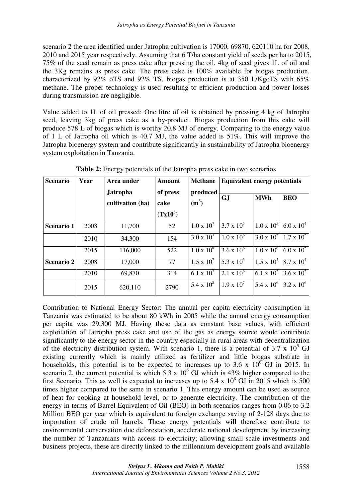scenario 2 the area identified under Jatropha cultivation is 17000, 69870, 620110 ha for 2008, 2010 and 2015 year respectively. Assuming that 6 T/ha constant yield of seeds per ha to 2015, 75% of the seed remain as press cake after pressing the oil, 4kg of seed gives 1L of oil and the 3Kg remains as press cake. The press cake is 100% available for biogas production, characterized by 92% oTS and 92% TS, biogas production is at 350 L/KgoTS with 65% methane. The proper technology is used resulting to efficient production and power losses during transmission are negligible.

Value added to 1L of oil pressed: One litre of oil is obtained by pressing 4 kg of Jatropha seed, leaving 3kg of press cake as a by-product. Biogas production from this cake will produce 578 L of biogas which is worthy 20.8 MJ of energy. Comparing to the energy value of 1 L of Jatropha oil which is 40.7 MJ, the value added is 51%. This will improve the Jatropha bioenergy system and contribute significantly in sustainability of Jatropha bioenergy system exploitation in Tanzania.

| <b>Scenario</b>   | Year | Area under                          | <b>Amount</b>                  | <b>Methane</b>      | <b>Equivalent energy potentials</b> |                     |                     |
|-------------------|------|-------------------------------------|--------------------------------|---------------------|-------------------------------------|---------------------|---------------------|
|                   |      | <b>Jatropha</b><br>cultivation (ha) | of press<br>cake<br>$(Tx10^3)$ | produced<br>$(m^3)$ | <b>GJ</b>                           | <b>MWh</b>          | <b>BEO</b>          |
| <b>Scenario 1</b> | 2008 | 11,700                              | 52                             | $1.0 \times 10^{7}$ | $\overline{3.7 \times 10^5}$        | $1.0 \times 10^5$   | $6.0 \times 10^{4}$ |
|                   | 2010 | 34,300                              | 154                            | $3.0 \times 10^{7}$ | $1.0 \times 10^{6}$                 | $3.0 \times 10^5$   | $1.7 \times 10^5$   |
|                   | 2015 | 116,000                             | 522                            | $1.0 \times 10^8$   | $3.6 \times 10^{6}$                 | $1.0 \times 10^{6}$ | $6.0 \times 10^5$   |
| <b>Scenario 2</b> | 2008 | 17,000                              | 77                             | $1.5 \times 10^{7}$ | 5.3 x $10^5$                        | $1.5 \times 10^5$   | $8.7 \times 10^{4}$ |
|                   | 2010 | 69,870                              | 314                            | 6.1 x $10^{7}$      | $2.1 \times 10^{6}$                 | 6.1 x $10^5$        | $3.6 \times 10^5$   |
|                   | 2015 | 620,110                             | 2790                           | $5.4 \times 10^8$   | $1.9 \times 10^{7}$                 | $5.4 \times 10^{6}$ | $3.2 \times 10^6$   |

**Table 2:** Energy potentials of the Jatropha press cake in two scenarios

Contribution to National Energy Sector: The annual per capita electricity consumption in Tanzania was estimated to be about 80 kWh in 2005 while the annual energy consumption per capita was 29,300 MJ. Having these data as constant base values, with efficient exploitation of Jatropha press cake and use of the gas as energy source would contribute significantly to the energy sector in the country especially in rural areas with decentralization of the electricity distribution system. With scenario 1, there is a potential of 3.7 x  $10^5$  GJ existing currently which is mainly utilized as fertilizer and little biogas substrate in households, this potential is to be expected to increases up to 3.6 x  $10^6$  GJ in 2015. In scenario 2, the current potential is which 5.3 x  $10^5$  GJ which is 43% higher compared to the first Scenario. This as well is expected to increases up to  $5.4 \times 10^8$  GJ in 2015 which is 500 times higher compared to the same in scenario 1. This energy amount can be used as source of heat for cooking at household level, or to generate electricity. The contribution of the energy in terms of Barrel Equivalent of Oil (BEO) in both scenarios ranges from 0.06 to 3.2 Million BEO per year which is equivalent to foreign exchange saving of 2-128 days due to importation of crude oil barrels. These energy potentials will therefore contribute to environmental conservation due deforestation, accelerate national development by increasing the number of Tanzanians with access to electricity; allowing small scale investments and business projects, these are directly linked to the millennium development goals and available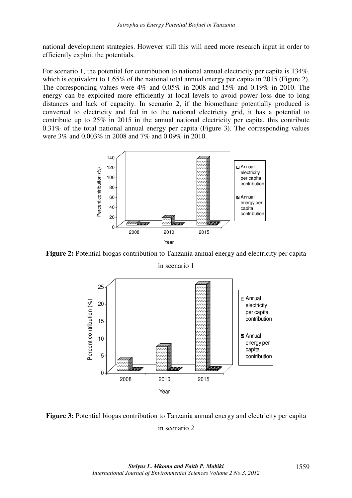national development strategies. However still this will need more research input in order to efficiently exploit the potentials.

For scenario 1, the potential for contribution to national annual electricity per capita is 134%, which is equivalent to 1.65% of the national total annual energy per capita in 2015 (Figure 2). The corresponding values were 4% and 0.05% in 2008 and 15% and 0.19% in 2010. The energy can be exploited more efficiently at local levels to avoid power loss due to long distances and lack of capacity. In scenario 2, if the biomethane potentially produced is converted to electricity and fed in to the national electricity grid, it has a potential to contribute up to 25% in 2015 in the annual national electricity per capita, this contribute 0.31% of the total national annual energy per capita (Figure 3). The corresponding values were 3% and 0.003% in 2008 and 7% and 0.09% in 2010.



**Figure 2:** Potential biogas contribution to Tanzania annual energy and electricity per capita in scenario 1



**Figure 3:** Potential biogas contribution to Tanzania annual energy and electricity per capita in scenario 2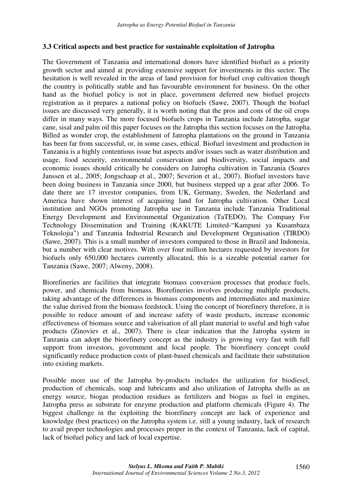## **3.3 Critical aspects and best practice for sustainable exploitation of Jatropha**

The Government of Tanzania and international donors have identified biofuel as a priority growth sector and aimed at providing extensive support for investments in this sector. The hesitation is well revealed in the areas of land provision for biofuel crop cultivation though the country is politically stable and has favourable environment for business. On the other hand as the biofuel policy is not in place, government deferred new biofuel projects registration as it prepares a national policy on biofuels (Sawe, 2007). Though the biofuel issues are discussed very generally, it is worth noting that the pros and cons of the oil crops differ in many ways. The more focused biofuels crops in Tanzania include Jatropha, sugar cane, sisal and palm oil this paper focuses on the Jatropha this section focuses on the Jatropha. Billed as wonder crop, the establishment of Jatropha plantations on the ground in Tanzania has been far from successful, or, in some cases, ethical. Biofuel investment and production in Tanzania is a highly contentious issue but aspects and/or issues such as water distribution and usage, food security, environmental conservation and biodiversity, social impacts and economic issues should critically be considers on Jatropha cultivation in Tanzania (Soares Janssen et al., 2005; Jongschaap et al., 2007; Severion et al., 2007). Biofuel investors have been doing business in Tanzania since 2000, but business stepped up a gear after 2006. To date there are 17 investor companies, from UK, Germany, Sweden, the Nederland and America have shown interest of acquiring land for Jatropha cultivation. Other Local institution and NGOs promoting Jatropha use in Tanzania include Tanzania Traditional Energy Development and Environmental Organization (TaTEDO), The Company For Technology Dissemination and Training (KAKUTE Limited-"Kampuni ya Kusambaza Teknolojia") and Tanzania Industrial Research and Development Organisation (TIRDO) (Sawe, 2007). This is a small number of investors compared to those in Brazil and Indonesia, but a number with clear motives. With over four million hectares requested by investors for biofuels only 650,000 hectares currently allocated, this is a sizeable potential earner for Tanzania (Sawe, 2007; Alweny, 2008).

Biorefineries are facilities that integrate biomass conversion processes that produce fuels, power, and chemicals from biomass. Biorefineries involves producing multiple products, taking advantage of the differences in biomass components and intermediates and maximize the value derived from the biomass feedstock. Using the concept of biorefinery therefore, it is possible to reduce amount of and increase safety of waste products, increase economic effectiveness of biomass source and valorisation of all plant material to useful and high value products (Zinoviev et al., 2007). There is clear indication that the Jatropha system in Tanzania can adopt the biorefinery concept as the industry is growing very fast with full support from investors, government and local people. The biorefinery concept could significantly reduce production costs of plant-based chemicals and facilitate their substitution into existing markets.

Possible more use of the Jatropha by-products includes the utilization for biodiesel, production of chemicals, soap and lubricants and also utilization of Jatropha shells as an energy source, biogas production residues as fertilizers and biogas as fuel in engines, Jatropha press as substrate for enzyme production and platform chemicals (Figure 4). The biggest challenge in the exploiting the biorefinery concept are lack of experience and knowledge (best practices) on the Jatropha system i.e. still a young industry, lack of research to avail proper technologies and processes proper in the context of Tanzania, lack of capital, lack of biofuel policy and lack of local expertise.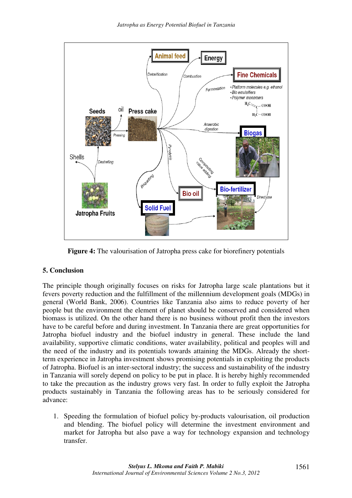

**Figure 4:** The valourisation of Jatropha press cake for biorefinery potentials

# **5. Conclusion**

The principle though originally focuses on risks for Jatropha large scale plantations but it fevers poverty reduction and the fulfillment of the millennium development goals (MDGs) in general (World Bank, 2006). Countries like Tanzania also aims to reduce poverty of her people but the environment the element of planet should be conserved and considered when biomass is utilized. On the other hand there is no business without profit then the investors have to be careful before and during investment. In Tanzania there are great opportunities for Jatropha biofuel industry and the biofuel industry in general. These include the land availability, supportive climatic conditions, water availability, political and peoples will and the need of the industry and its potentials towards attaining the MDGs. Already the shortterm experience in Jatropha investment shows promising potentials in exploiting the products of Jatropha. Biofuel is an inter-sectoral industry; the success and sustainability of the industry in Tanzania will sorely depend on policy to be put in place. It is hereby highly recommended to take the precaution as the industry grows very fast. In order to fully exploit the Jatropha products sustainably in Tanzania the following areas has to be seriously considered for advance:

1. Speeding the formulation of biofuel policy by-products valourisation, oil production and blending. The biofuel policy will determine the investment environment and market for Jatropha but also pave a way for technology expansion and technology transfer.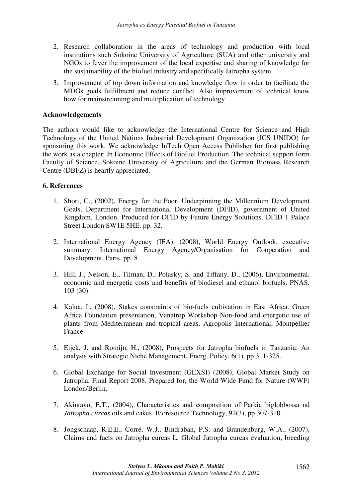- 2. Research collaboration in the areas of technology and production with local institutions such Sokoine University of Agriculture (SUA) and other university and NGOs to fever the improvement of the local expertise and sharing of knowledge for the sustainability of the biofuel industry and specifically Jatropha system.
- 3. Improvement of top down information and knowledge flow in order to facilitate the MDGs goals fulfillment and reduce conflict. Also improvement of technical know how for mainstreaming and multiplication of technology

## **Acknowledgements**

The authors would like to acknowledge the International Centre for Science and High Technology of the United Nations Industrial Development Organization (ICS UNIDO) for sponsoring this work. We acknowledge InTech Open Access Publisher for first publishing the work as a chapter: In Economic Effects of Biofuel Production. The technical support form Faculty of Science, Sokoine University of Agriculture and the German Biomass Research Centre (DBFZ) is heartly appreciated.

## **6. References**

- 1. Short, C., (2002), Energy for the Poor. Underpinning the Millennium Development Goals. Department for International Development (DFID), government of United Kingdom, London. Produced for DFID by Future Energy Solutions. DFID 1 Palace Street London SW1E 5HE. pp. 32.
- 2. International Energy Agency (IEA). (2008), World Energy Outlook, executive summary. International Energy Agency/Organisation for Cooperation and Development, Paris, pp. 8
- 3. Hill, J., Nelson, E., Tilman, D., Polasky, S. and Tiffany, D., (2006), Environmental, economic and energetic costs and benefits of biodiesel and ethanol biofuels. PNAS, 103 (30).
- 4. Kalua, I., (2008), Stakes constraints of bio-fuels cultivation in East Africa. Green Africa Foundation presentation, Vanatrop Workshop Non-food and energetic use of plants from Mediterranean and tropical areas, Agropolis International, Montpellier France.
- 5. Eijck, J. and Romijn, H., (2008), Prospects for Jatropha biofuels in Tanzania: An analysis with Strategic Niche Management, Energ. Policy, 6(1), pp 311-325.
- 6. Global Exchange for Social Investment (GEXSI) (2008), Global Market Study on Jatropha. Final Report 2008. Prepared for, the World Wide Fund for Nature (WWF) London/Berlin.
- 7. Akintayo, E.T., (2004), Characteristics and composition of Parkia biglobbossa nd *Jatropha curcas* oils and cakes, Bioresource Technology, 92(3), pp 307-310.
- 8. Jongschaap, R.E.E., Corré, W.J., Bindraban, P.S. and Brandenburg, W.A., (2007), Claims and facts on Jatropha curcas L. Global Jatropha curcas evaluation, breeding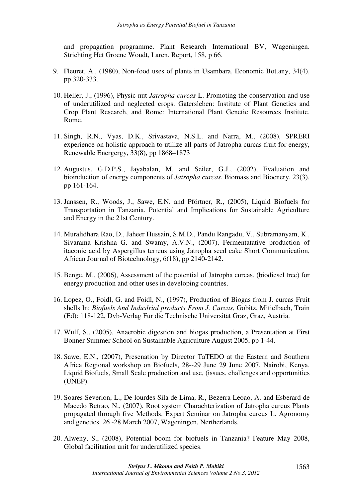and propagation programme. Plant Research International BV, Wageningen. Strichting Het Groene Woudt, Laren. Report, 158, p 66.

- 9. Fleuret, A., (1980), Non-food uses of plants in Usambara, Economic Bot.any, 34(4), pp 320-333.
- 10. Heller, J., (1996), Physic nut *Jatropha curcas* L. Promoting the conservation and use of underutilized and neglected crops. Gatersleben: Institute of Plant Genetics and Crop Plant Research, and Rome: International Plant Genetic Resources Institute. Rome.
- 11. Singh, R.N., Vyas, D.K., Srivastava, N.S.L. and Narra, M., (2008), SPRERI experience on holistic approach to utilize all parts of Jatropha curcas fruit for energy, Renewable Energergy, 33(8), pp 1868–1873
- 12. Augustus, G.D.P.S., Jayabalan, M. and Seiler, G.J., (2002), Evaluation and bioinduction of energy components of *Jatropha curcas*, Biomass and Bioenery, 23(3), pp 161-164.
- 13. Janssen, R., Woods, J., Sawe, E.N. and Pförtner, R., (2005), Liquid Biofuels for Transportation in Tanzania. Potential and Implications for Sustainable Agriculture and Energy in the 21st Century.
- 14. Muralidhara Rao, D., Jaheer Hussain, S.M.D., Pandu Rangadu, V., Subramanyam, K., Sivarama Krishna G. and Swamy, A.V.N., (2007), Fermentatative production of itaconic acid by Aspergillus terreus using Jatropha seed cake Short Communication, African Journal of Biotechnology, 6(18), pp 2140-2142.
- 15. Benge, M., (2006), Assessment of the potential of Jatropha curcas, (biodiesel tree) for energy production and other uses in developing countries.
- 16. Lopez, O., Foidl, G. and Foidl, N., (1997), Production of Biogas from J. curcas Fruit shells In: *Biofuels And Induslrial products From J. Curcas*, Gobitz, Mitielbach, Train (Ed): 118-122, Dvb-Verlag Für die Technische Universität Graz, Graz, Austria.
- 17. Wulf, S., (2005), Anaerobic digestion and biogas production, a Presentation at First Bonner Summer School on Sustainable Agriculture August 2005, pp 1-44.
- 18. Sawe, E.N., (2007), Presenation by Director TaTEDO at the Eastern and Southern Africa Regional workshop on Biofuels, 28--29 June 29 June 2007, Nairobi, Kenya. Liquid Biofuels, Small Scale production and use, (issues, challenges and opportunities (UNEP).
- 19. Soares Severion, L., De lourdes Sila de Lima, R., Bezerra Leoao, A. and Esberard de Macedo Betrao, N., (2007), Root system Charachterization of Jatropha curcus Plants propagated through five Methods. Expert Seminar on Jatropha curcus L. Agronomy and genetics. 26 -28 March 2007, Wageningen, Nertherlands.
- 20. Alweny, S., (2008), Potential boom for biofuels in Tanzania? Feature May 2008, Global facilitation unit for underutilized species.